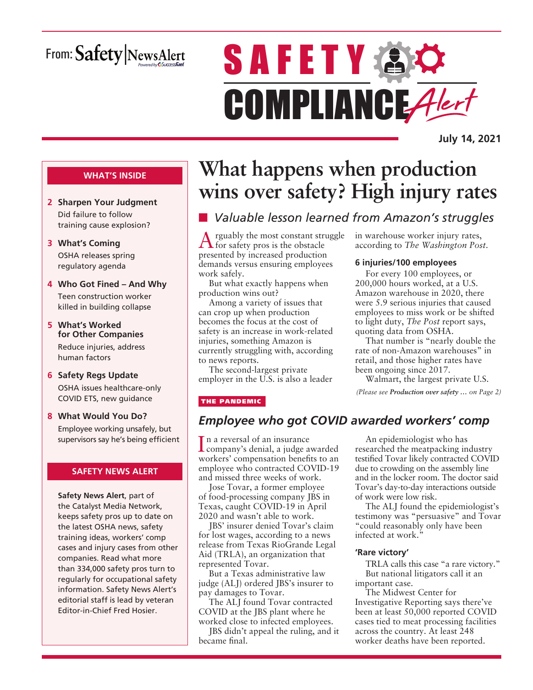# From: Safety NewsAlert

# **SAFETY AC** COMPLIANCE Alert

**July 14, 2021**

#### **WHAT'S INSIDE**

- **2 Sharpen Your Judgment** Did failure to follow training cause explosion?
- **3 What's Coming** OSHA releases spring regulatory agenda
- **4 Who Got Fined And Why** Teen construction worker killed in building collapse
- **5 What's Worked for Other Companies** Reduce injuries, address human factors
- **6 Safety Regs Update** OSHA issues healthcare-only COVID ETS, new guidance
- **8 What Would You Do?** Employee working unsafely, but supervisors say he's being efficient

#### **SAFETY NEWS ALERT**

**Safety News Alert**, part of the Catalyst Media Network, keeps safety pros up to date on the latest OSHA news, safety training ideas, workers' comp cases and injury cases from other companies. Read what more than 334,000 safety pros turn to regularly for occupational safety information. Safety News Alert's editorial staff is lead by veteran Editor-in-Chief Fred Hosier.

# **What happens when production wins over safety? High injury rates**

# n *Valuable lesson learned from Amazon's struggles*

Arguably the most constant struggle for safety pros is the obstacle presented by increased production demands versus ensuring employees work safely.

But what exactly happens when production wins out?

Among a variety of issues that can crop up when production becomes the focus at the cost of safety is an increase in work-related injuries, something Amazon is currently struggling with, according to news reports.

The second-largest private employer in the U.S. is also a leader

#### THE PANDEMIC

# *Employee who got COVID awarded workers' comp*

In a reversal of an insurance<br>company's denial, a judge and company's denial, a judge awarded workers' compensation benefits to an employee who contracted COVID-19 and missed three weeks of work.

Jose Tovar, a former employee of food-processing company JBS in Texas, caught COVID-19 in April 2020 and wasn't able to work.

JBS' insurer denied Tovar's claim for lost wages, according to a news release from Texas RioGrande Legal Aid (TRLA), an organization that represented Tovar.

But a Texas administrative law judge (ALJ) ordered JBS's insurer to pay damages to Tovar.

The ALJ found Tovar contracted COVID at the JBS plant where he worked close to infected employees.

JBS didn't appeal the ruling, and it became final.

in warehouse worker injury rates, according to *The Washington Post*.

#### **6 injuries/100 employees**

For every 100 employees, or 200,000 hours worked, at a U.S. Amazon warehouse in 2020, there were 5.9 serious injuries that caused employees to miss work or be shifted to light duty, *The Post* report says, quoting data from OSHA.

That number is "nearly double the rate of non-Amazon warehouses" in retail, and those higher rates have been ongoing since 2017.

Walmart, the largest private U.S. *(Please see Production over safety … on Page 2)*

An epidemiologist who has researched the meatpacking industry testified Tovar likely contracted COVID due to crowding on the assembly line and in the locker room. The doctor said Tovar's day-to-day interactions outside of work were low risk.

The ALJ found the epidemiologist's testimony was "persuasive" and Tovar "could reasonably only have been infected at work."

#### **'Rare victory'**

TRLA calls this case "a rare victory." But national litigators call it an important case.

The Midwest Center for Investigative Reporting says there've been at least 50,000 reported COVID cases tied to meat processing facilities across the country. At least 248 worker deaths have been reported.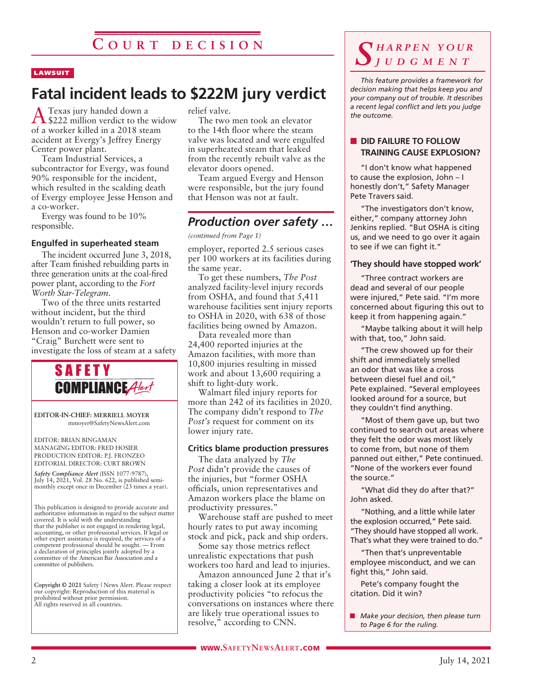#### **LAWSUIT**

# **Fatal incident leads to \$222M jury verdict**

A Texas jury handed down a \$222 million verdict to the widow of a worker killed in a 2018 steam accident at Evergy's Jeffrey Energy Center power plant.

Team Industrial Services, a subcontractor for Evergy, was found 90% responsible for the incident, which resulted in the scalding death of Evergy employee Jesse Henson and a co-worker.

Evergy was found to be 10% responsible.

#### **Engulfed in superheated steam**

The incident occurred June 3, 2018, after Team finished rebuilding parts in three generation units at the coal-fired power plant, according to the *Fort Worth Star-Telegram*.

Two of the three units restarted without incident, but the third wouldn't return to full power, so Henson and co-worker Damien "Craig" Burchett were sent to investigate the loss of steam at a safety



**EDITOR-IN-CHIEF: MERRIELL MOYER** mmoyer@SafetyNewsAlert.com

EDITOR: BRIAN BINGAMAN MANAGING EDITOR: FRED HOSIER PRODUCTION EDITOR: P.J. FRONZEO EDITORIAL DIRECTOR: CURT BROWN

*Safety Compliance Alert* (ISSN 1077-9787), July 14, 2021, Vol. 28 No. 622, is published semimonthly except once in December (23 times a year).

This publication is designed to provide accurate and authoritative information in regard to the subject matter covered. It is sold with the understanding that the publisher is not engaged in rendering legal, accounting, or other professional services. If legal or other expert assistance is required, the services of a competent professional should be sought. — From a declaration of principles jointly adopted by a committee of the American Bar Association and a committee of publishers.

**Copyright © 2021** Safety | News Alert. Please respect our copyright: Reproduction of this material is prohibited without prior permission. All rights reserved in all countries.

relief valve.

The two men took an elevator to the 14th floor where the steam valve was located and were engulfed in superheated steam that leaked from the recently rebuilt valve as the elevator doors opened.

Team argued Evergy and Henson were responsible, but the jury found that Henson was not at fault.

## *Production over safety …*

*(continued from Page 1)*

employer, reported 2.5 serious cases per 100 workers at its facilities during the same year.

To get these numbers, *The Post* analyzed facility-level injury records from OSHA, and found that 5,411 warehouse facilities sent injury reports to OSHA in 2020, with 638 of those facilities being owned by Amazon.

Data revealed more than 24,400 reported injuries at the Amazon facilities, with more than 10,800 injuries resulting in missed work and about 13,600 requiring a shift to light-duty work.

Walmart filed injury reports for more than 242 of its facilities in 2020. The company didn't respond to *The Post's* request for comment on its lower injury rate.

#### **Critics blame production pressures**

The data analyzed by *The Post* didn't provide the causes of the injuries, but "former OSHA officials, union representatives and Amazon workers place the blame on productivity pressures."

Warehouse staff are pushed to meet hourly rates to put away incoming stock and pick, pack and ship orders.

Some say those metrics reflect unrealistic expectations that push workers too hard and lead to injuries.

Amazon announced June 2 that it's taking a closer look at its employee productivity policies "to refocus the conversations on instances where there are likely true operational issues to resolve," according to CNN.

## *S h a r p e n y o u r j u d g m e n t*

*This feature provides a framework for decision making that helps keep you and your company out of trouble. It describes a recent legal conflict and lets you judge the outcome.*

#### **N** DID FAILURE TO FOLLOW **TRAINING CAUSE EXPLOSION?**

"I don't know what happened to cause the explosion, John – I honestly don't," Safety Manager Pete Travers said.

"The investigators don't know, either," company attorney John Jenkins replied. "But OSHA is citing us, and we need to go over it again to see if we can fight it."

#### **'They should have stopped work'**

"Three contract workers are dead and several of our people were injured," Pete said. "I'm more concerned about figuring this out to keep it from happening again."

"Maybe talking about it will help with that, too," John said.

"The crew showed up for their shift and immediately smelled an odor that was like a cross between diesel fuel and oil," Pete explained. "Several employees looked around for a source, but they couldn't find anything.

"Most of them gave up, but two continued to search out areas where they felt the odor was most likely to come from, but none of them panned out either," Pete continued. "None of the workers ever found the source."

"What did they do after that?" John asked.

"Nothing, and a little while later the explosion occurred," Pete said. "They should have stopped all work. That's what they were trained to do."

"Then that's unpreventable employee misconduct, and we can fight this," John said.

Pete's company fought the citation. Did it win?

■ *Make your decision, then please turn to Page 6 for the ruling.*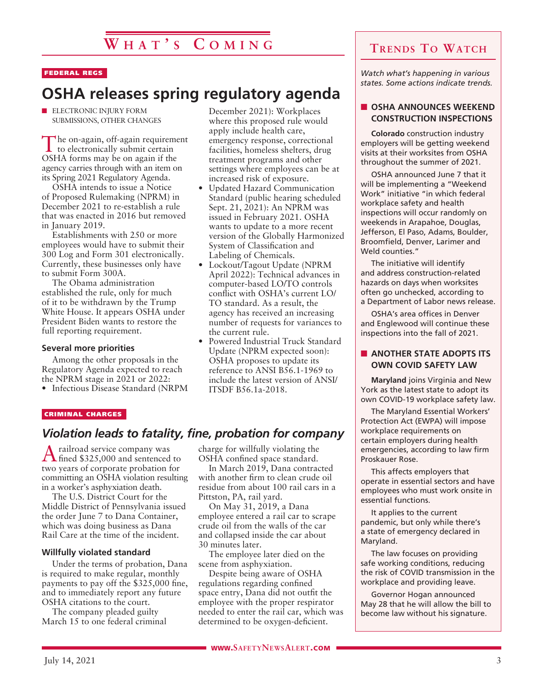# **W h a t ' s C o m i n g**

#### FEDERAL REGS

# **OSHA releases spring regulatory agenda**

 $\blacksquare$  ELECTRONIC INJURY FORM SUBMISSIONS, OTHER CHANGES

The on-again, off-again requirement to electronically submit certain OSHA forms may be on again if the agency carries through with an item on its Spring 2021 Regulatory Agenda.

OSHA intends to issue a Notice of Proposed Rulemaking (NPRM) in December 2021 to re-establish a rule that was enacted in 2016 but removed in January 2019.

Establishments with 250 or more employees would have to submit their 300 Log and Form 301 electronically. Currently, these businesses only have to submit Form 300A.

The Obama administration established the rule, only for much of it to be withdrawn by the Trump White House. It appears OSHA under President Biden wants to restore the full reporting requirement.

#### **Several more priorities**

Among the other proposals in the Regulatory Agenda expected to reach the NPRM stage in 2021 or 2022:

• Infectious Disease Standard (NRPM

December 2021): Workplaces where this proposed rule would apply include health care, emergency response, correctional facilities, homeless shelters, drug treatment programs and other settings where employees can be at increased risk of exposure.

- Updated Hazard Communication Standard (public hearing scheduled Sept. 21, 2021): An NPRM was issued in February 2021. OSHA wants to update to a more recent version of the Globally Harmonized System of Classification and Labeling of Chemicals.
- Lockout/Tagout Update (NPRM April 2022): Technical advances in computer-based LO/TO controls conflict with OSHA's current LO/ TO standard. As a result, the agency has received an increasing number of requests for variances to the current rule.
- Powered Industrial Truck Standard Update (NPRM expected soon): OSHA proposes to update its reference to ANSI B56.1-1969 to include the latest version of ANSI/ ITSDF B56.1a-2018.

#### CRIMINAL CHARGES

### *Violation leads to fatality, fine, probation for company*

A railroad service company was fined \$325,000 and sentenced to two years of corporate probation for committing an OSHA violation resulting in a worker's asphyxiation death.

The U.S. District Court for the Middle District of Pennsylvania issued the order June 7 to Dana Container, which was doing business as Dana Rail Care at the time of the incident.

#### **Willfully violated standard**

Under the terms of probation, Dana is required to make regular, monthly payments to pay off the \$325,000 fine, and to immediately report any future OSHA citations to the court.

The company pleaded guilty March 15 to one federal criminal charge for willfully violating the OSHA confined space standard.

In March 2019, Dana contracted with another firm to clean crude oil residue from about 100 rail cars in a Pittston, PA, rail yard.

On May 31, 2019, a Dana employee entered a rail car to scrape crude oil from the walls of the car and collapsed inside the car about 30 minutes later.

The employee later died on the scene from asphyxiation.

Despite being aware of OSHA regulations regarding confined space entry, Dana did not outfit the employee with the proper respirator needed to enter the rail car, which was determined to be oxygen-deficient.

# **Trends To Watch**

*Watch what's happening in various states. Some actions indicate trends.*

#### **N** OSHA ANNOUNCES WEEKEND **CONSTRUCTION INSPECTIONS**

**Colorado** construction industry employers will be getting weekend visits at their worksites from OSHA throughout the summer of 2021.

OSHA announced June 7 that it will be implementing a "Weekend Work" initiative "in which federal workplace safety and health inspections will occur randomly on weekends in Arapahoe, Douglas, Jefferson, El Paso, Adams, Boulder, Broomfield, Denver, Larimer and Weld counties."

The initiative will identify and address construction-related hazards on days when worksites often go unchecked, according to a Department of Labor news release.

OSHA's area offices in Denver and Englewood will continue these inspections into the fall of 2021.

#### **NOTHER STATE ADOPTS ITS OWN COVID SAFETY LAW**

**Maryland** joins Virginia and New York as the latest state to adopt its own COVID-19 workplace safety law.

The Maryland Essential Workers' Protection Act (EWPA) will impose workplace requirements on certain employers during health emergencies, according to law firm Proskauer Rose.

This affects employers that operate in essential sectors and have employees who must work onsite in essential functions.

It applies to the current pandemic, but only while there's a state of emergency declared in Maryland.

The law focuses on providing safe working conditions, reducing the risk of COVID transmission in the workplace and providing leave.

Governor Hogan announced May 28 that he will allow the bill to become law without his signature.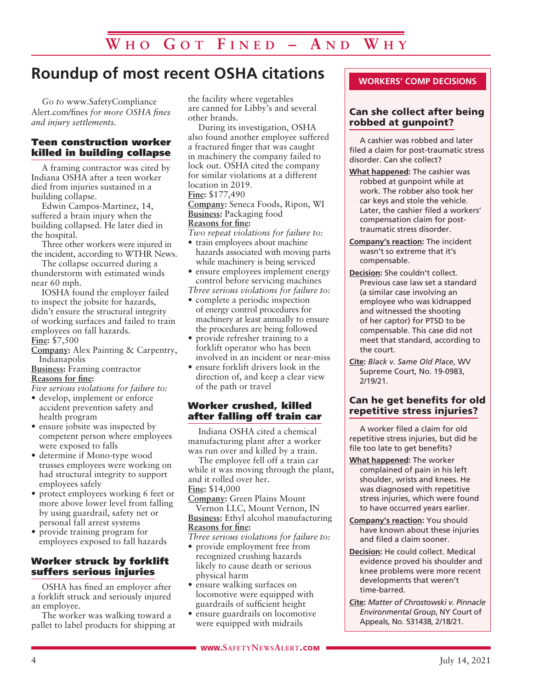# **Roundup of most recent OSHA citations**

*Go to* www.SafetyCompliance Alert.com/fines *for more OSHA fines and injury settlements.*

#### Teen construction worker killed in building collapse

A framing contractor was cited by Indiana OSHA after a teen worker died from injuries sustained in a building collapse.

Edwin Campos-Martinez, 14, suffered a brain injury when the building collapsed. He later died in the hospital.

Three other workers were injured in the incident, according to WTHR News.

The collapse occurred during a thunderstorm with estimated winds near 60 mph.

IOSHA found the employer failed to inspect the jobsite for hazards, didn't ensure the structural integrity of working surfaces and failed to train employees on fall hazards. **Fine:** \$7,500

**Company:** Alex Painting & Carpentry, Indianapolis

**Business:** Framing contractor **Reasons for fine:**

*Five serious violations for failure to:*

- develop, implement or enforce accident prevention safety and health program
- ensure jobsite was inspected by competent person where employees were exposed to falls
- determine if Mono-type wood trusses employees were working on had structural integrity to support employees safely
- protect employees working 6 feet or more above lower level from falling by using guardrail, safety net or personal fall arrest systems
- provide training program for employees exposed to fall hazards

#### Worker struck by forklift suffers serious injuries

OSHA has fined an employer after a forklift struck and seriously injured an employee.

The worker was walking toward a pallet to label products for shipping at

the facility where vegetables are canned for Libby's and several other brands.

During its investigation, OSHA also found another employee suffered a fractured finger that was caught in machinery the company failed to lock out. OSHA cited the company for similar violations at a different location in 2019. **Fine:** \$177,490

**Company:** Seneca Foods, Ripon, WI **Business:** Packaging food **Reasons for fine:**

*Two repeat violations for failure to:*

- train employees about machine hazards associated with moving parts while machinery is being serviced
- ensure employees implement energy control before servicing machines

*Three serious violations for failure to:*

- complete a periodic inspection of energy control procedures for machinery at least annually to ensure the procedures are being followed
- provide refresher training to a forklift operator who has been involved in an incident or near-miss
- ensure forklift drivers look in the direction of, and keep a clear view of the path or travel

#### Worker crushed, killed after falling off train car

Indiana OSHA cited a chemical manufacturing plant after a worker was run over and killed by a train.

The employee fell off a train car while it was moving through the plant, and it rolled over her. **Fine:** \$14,000

**Company:** Green Plains Mount Vernon LLC, Mount Vernon, IN **Business:** Ethyl alcohol manufacturing

#### **Reasons for fine:**

*Three serious violations for failure to:*

- provide employment free from recognized crushing hazards likely to cause death or serious physical harm
- ensure walking surfaces on locomotive were equipped with guardrails of sufficient height
- ensure guardrails on locomotive were equipped with midrails

#### **WORKERS' COMP DECISIONS**

#### Can she collect after being robbed at gunpoint?

A cashier was robbed and later filed a claim for post-traumatic stress disorder. Can she collect?

- **What happened:** The cashier was robbed at gunpoint while at work. The robber also took her car keys and stole the vehicle. Later, the cashier filed a workers' compensation claim for posttraumatic stress disorder.
- **Company's reaction:** The incident wasn't so extreme that it's compensable.
- **Decision:** She couldn't collect. Previous case law set a standard (a similar case involving an employee who was kidnapped and witnessed the shooting of her captor) for PTSD to be compensable. This case did not meet that standard, according to the court.
- **Cite:** *Black v. Same Old Place*, WV Supreme Court, No. 19-0983, 2/19/21.

#### Can he get benefits for old repetitive stress injuries?

A worker filed a claim for old repetitive stress injuries, but did he file too late to get benefits?

- **What happened:** The worker complained of pain in his left shoulder, wrists and knees. He was diagnosed with repetitive stress injuries, which were found to have occurred years earlier.
- **Company's reaction:** You should have known about these injuries and filed a claim sooner.
- **Decision:** He could collect. Medical evidence proved his shoulder and knee problems were more recent developments that weren't time-barred.
- **Cite:** *Matter of Chrostowski v. Pinnacle Environmental Group*, NY Court of Appeals, No. 531438, 2/18/21.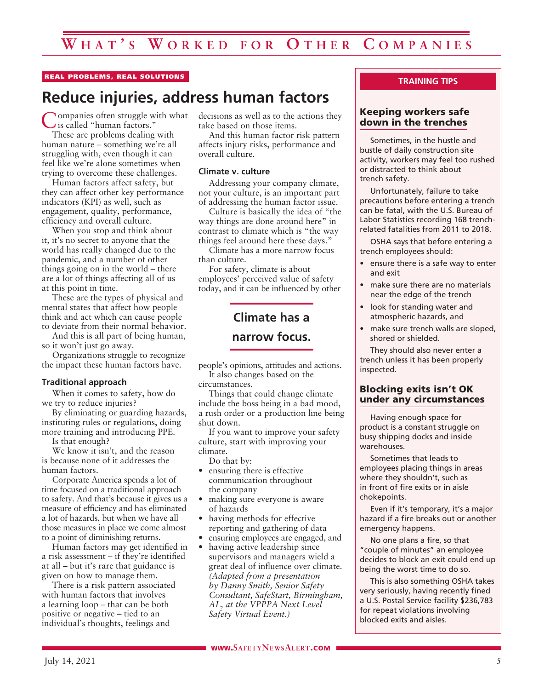#### REAL PROBLEMS, REAL SOLUTIONS

# **Reduce injuries, address human factors**

Companies often struggle with what is called "human factors."

These are problems dealing with human nature – something we're all struggling with, even though it can feel like we're alone sometimes when trying to overcome these challenges.

Human factors affect safety, but they can affect other key performance indicators (KPI) as well, such as engagement, quality, performance, efficiency and overall culture.

When you stop and think about it, it's no secret to anyone that the world has really changed due to the pandemic, and a number of other things going on in the world – there are a lot of things affecting all of us at this point in time.

These are the types of physical and mental states that affect how people think and act which can cause people to deviate from their normal behavior.

And this is all part of being human, so it won't just go away.

Organizations struggle to recognize the impact these human factors have.

#### **Traditional approach**

When it comes to safety, how do we try to reduce injuries?

By eliminating or guarding hazards, instituting rules or regulations, doing more training and introducing PPE.

Is that enough?

We know it isn't, and the reason is because none of it addresses the human factors.

Corporate America spends a lot of time focused on a traditional approach to safety. And that's because it gives us a measure of efficiency and has eliminated a lot of hazards, but when we have all those measures in place we come almost to a point of diminishing returns.

Human factors may get identified in a risk assessment – if they're identified at all – but it's rare that guidance is given on how to manage them.

There is a risk pattern associated with human factors that involves a learning loop – that can be both positive or negative – tied to an individual's thoughts, feelings and

decisions as well as to the actions they take based on those items.

And this human factor risk pattern affects injury risks, performance and overall culture.

#### **Climate v. culture**

Addressing your company climate, not your culture, is an important part of addressing the human factor issue.

Culture is basically the idea of "the way things are done around here" in contrast to climate which is "the way things feel around here these days."

Climate has a more narrow focus than culture.

For safety, climate is about employees' perceived value of safety today, and it can be influenced by other

# **Climate has a narrow focus.**

people's opinions, attitudes and actions. It also changes based on the

circumstances.

Things that could change climate include the boss being in a bad mood, a rush order or a production line being shut down.

If you want to improve your safety culture, start with improving your climate.

Do that by:

- ensuring there is effective communication throughout the company
- making sure everyone is aware of hazards
- having methods for effective reporting and gathering of data
- ensuring employees are engaged, and
- having active leadership since supervisors and managers wield a great deal of influence over climate. *(Adapted from a presentation by Danny Smith, Senior Safety Consultant, SafeStart, Birmingham, AL, at the VPPPA Next Level Safety Virtual Event.)*

#### **TRAINING TIPS**

#### Keeping workers safe down in the trenches

Sometimes, in the hustle and bustle of daily construction site activity, workers may feel too rushed or distracted to think about trench safety.

Unfortunately, failure to take precautions before entering a trench can be fatal, with the U.S. Bureau of Labor Statistics recording 168 trenchrelated fatalities from 2011 to 2018.

OSHA says that before entering a trench employees should:

- ensure there is a safe way to enter and exit
- make sure there are no materials near the edge of the trench
- look for standing water and atmospheric hazards, and
- make sure trench walls are sloped, shored or shielded.

They should also never enter a trench unless it has been properly inspected.

#### Blocking exits isn't OK under any circumstances

Having enough space for product is a constant struggle on busy shipping docks and inside warehouses.

Sometimes that leads to employees placing things in areas where they shouldn't, such as in front of fire exits or in aisle chokepoints.

Even if it's temporary, it's a major hazard if a fire breaks out or another emergency happens.

No one plans a fire, so that "couple of minutes" an employee decides to block an exit could end up being the worst time to do so.

This is also something OSHA takes very seriously, having recently fined a U.S. Postal Service facility \$236,783 for repeat violations involving blocked exits and aisles.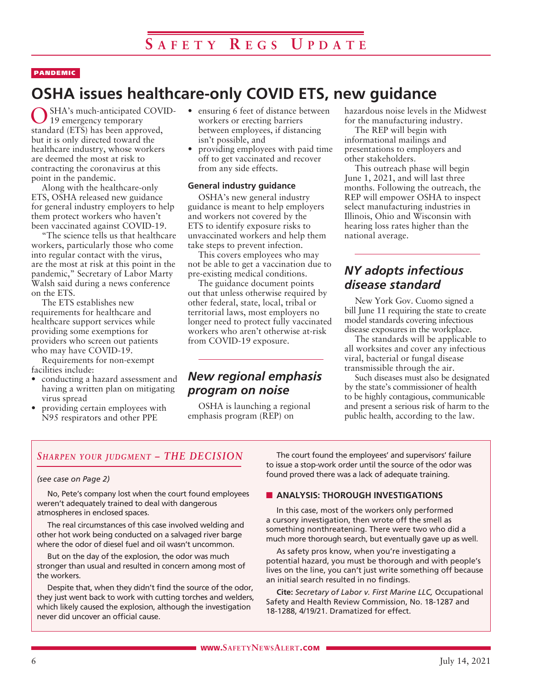#### PANDEMIC

# **OSHA issues healthcare-only COVID ETS, new guidance**

SHA's much-anticipated COVID-19 emergency temporary standard (ETS) has been approved, but it is only directed toward the healthcare industry, whose workers are deemed the most at risk to contracting the coronavirus at this point in the pandemic.

Along with the healthcare-only ETS, OSHA released new guidance for general industry employers to help them protect workers who haven't been vaccinated against COVID-19.

"The science tells us that healthcare workers, particularly those who come into regular contact with the virus, are the most at risk at this point in the pandemic," Secretary of Labor Marty Walsh said during a news conference on the ETS.

The ETS establishes new requirements for healthcare and healthcare support services while providing some exemptions for providers who screen out patients who may have COVID-19.

Requirements for non-exempt facilities include:

- conducting a hazard assessment and having a written plan on mitigating virus spread
- providing certain employees with N95 respirators and other PPE
- ensuring 6 feet of distance between workers or erecting barriers between employees, if distancing isn't possible, and
- providing employees with paid time off to get vaccinated and recover from any side effects.

#### **General industry guidance**

OSHA's new general industry guidance is meant to help employers and workers not covered by the ETS to identify exposure risks to unvaccinated workers and help them take steps to prevent infection.

This covers employees who may not be able to get a vaccination due to pre-existing medical conditions.

The guidance document points out that unless otherwise required by other federal, state, local, tribal or territorial laws, most employers no longer need to protect fully vaccinated workers who aren't otherwise at-risk from COVID-19 exposure.

### *New regional emphasis program on noise*

OSHA is launching a regional emphasis program (REP) on

hazardous noise levels in the Midwest for the manufacturing industry.

The REP will begin with informational mailings and presentations to employers and other stakeholders.

This outreach phase will begin June 1, 2021, and will last three months. Following the outreach, the REP will empower OSHA to inspect select manufacturing industries in Illinois, Ohio and Wisconsin with hearing loss rates higher than the national average.

### *NY adopts infectious disease standard*

New York Gov. Cuomo signed a bill June 11 requiring the state to create model standards covering infectious disease exposures in the workplace.

The standards will be applicable to all worksites and cover any infectious viral, bacterial or fungal disease transmissible through the air.

Such diseases must also be designated by the state's commissioner of health to be highly contagious, communicable and present a serious risk of harm to the public health, according to the law.

#### *Sharpen your judgment – THE DECISION*

#### *(see case on Page 2)*

No, Pete's company lost when the court found employees weren't adequately trained to deal with dangerous atmospheres in enclosed spaces.

The real circumstances of this case involved welding and other hot work being conducted on a salvaged river barge where the odor of diesel fuel and oil wasn't uncommon.

But on the day of the explosion, the odor was much stronger than usual and resulted in concern among most of the workers.

Despite that, when they didn't find the source of the odor, they just went back to work with cutting torches and welders, which likely caused the explosion, although the investigation never did uncover an official cause.

The court found the employees' and supervisors' failure to issue a stop-work order until the source of the odor was found proved there was a lack of adequate training.

#### **N** ANALYSIS: THOROUGH INVESTIGATIONS

In this case, most of the workers only performed a cursory investigation, then wrote off the smell as something nonthreatening. There were two who did a much more thorough search, but eventually gave up as well.

As safety pros know, when you're investigating a potential hazard, you must be thorough and with people's lives on the line, you can't just write something off because an initial search resulted in no findings.

**Cite:** *Secretary of Labor v. First Marine LLC,* Occupational Safety and Health Review Commission, No. 18-1287 and 18-1288, 4/19/21. Dramatized for effect.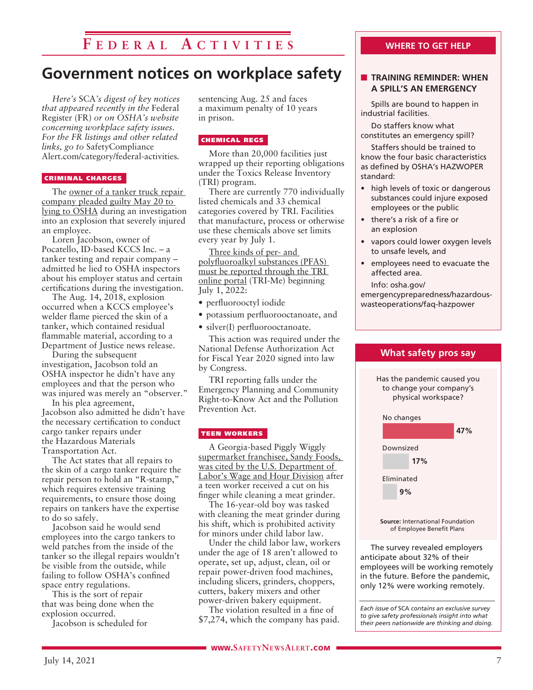# **F e d e r a l A c t i v i t i e s**

# **Government notices on workplace safety**

*Here's* SCA*'s digest of key notices that appeared recently in the* Federal Register (FR) *or on OSHA's website concerning workplace safety issues. For the FR listings and other related links, go to* SafetyCompliance Alert.com/category/federal-activities*.*

#### CRIMINAL CHARGES

The owner of a tanker truck repair company pleaded guilty May 20 to lying to OSHA during an investigation into an explosion that severely injured an employee.

Loren Jacobson, owner of Pocatello, ID-based KCCS Inc. – a tanker testing and repair company – admitted he lied to OSHA inspectors about his employer status and certain certifications during the investigation.

The Aug. 14, 2018, explosion occurred when a KCCS employee's welder flame pierced the skin of a tanker, which contained residual flammable material, according to a Department of Justice news release.

During the subsequent investigation, Jacobson told an OSHA inspector he didn't have any employees and that the person who was injured was merely an "observer."

In his plea agreement, Jacobson also admitted he didn't have the necessary certification to conduct cargo tanker repairs under the Hazardous Materials Transportation Act.

The Act states that all repairs to the skin of a cargo tanker require the repair person to hold an "R-stamp," which requires extensive training requirements, to ensure those doing repairs on tankers have the expertise to do so safely.

Jacobson said he would send employees into the cargo tankers to weld patches from the inside of the tanker so the illegal repairs wouldn't be visible from the outside, while failing to follow OSHA's confined space entry regulations.

This is the sort of repair that was being done when the explosion occurred.

Jacobson is scheduled for

sentencing Aug. 25 and faces a maximum penalty of 10 years in prison.

#### CHEMICAL REGS

More than 20,000 facilities just wrapped up their reporting obligations under the Toxics Release Inventory (TRI) program.

There are currently 770 individually listed chemicals and 33 chemical categories covered by TRI. Facilities that manufacture, process or otherwise use these chemicals above set limits every year by July 1.

Three kinds of per- and polyfluoroalkyl substances (PFAS) must be reported through the TRI online portal (TRI-Me) beginning July 1, 2022:

• perfluorooctyl iodide

- potassium perfluorooctanoate, and
- silver(I) perfluorooctanoate.

This action was required under the National Defense Authorization Act for Fiscal Year 2020 signed into law by Congress.

TRI reporting falls under the Emergency Planning and Community Right-to-Know Act and the Pollution Prevention Act.

#### TEEN WORKERS

A Georgia-based Piggly Wiggly supermarket franchisee, Sandy Foods, was cited by the U.S. Department of Labor's Wage and Hour Division after a teen worker received a cut on his finger while cleaning a meat grinder.

The 16-year-old boy was tasked with cleaning the meat grinder during his shift, which is prohibited activity for minors under child labor law.

Under the child labor law, workers under the age of 18 aren't allowed to operate, set up, adjust, clean, oil or repair power-driven food machines, including slicers, grinders, choppers, cutters, bakery mixers and other power-driven bakery equipment.

The violation resulted in a fine of \$7,274, which the company has paid.

#### **WHERE TO GET HELP**

#### **n** TRAINING REMINDER: WHEN **A SPILL'S AN EMERGENCY**

Spills are bound to happen in industrial facilities.

Do staffers know what constitutes an emergency spill?

Staffers should be trained to know the four basic characteristics as defined by OSHA's HAZWOPER standard:

- high levels of toxic or dangerous substances could injure exposed employees or the public
- there's a risk of a fire or an explosion
- vapors could lower oxygen levels to unsafe levels, and
- employees need to evacuate the affected area.

#### Info: osha.gov/ emergencypreparedness/hazardouswasteoperations/faq-hazpower



of Employee Benefit Plans

The survey revealed employers anticipate about 32% of their employees will be working remotely in the future. Before the pandemic, only 12% were working remotely.

*Each issue of* SCA *contains an exclusive survey to give safety professionals insight into what their peers nationwide are thinking and doing.*